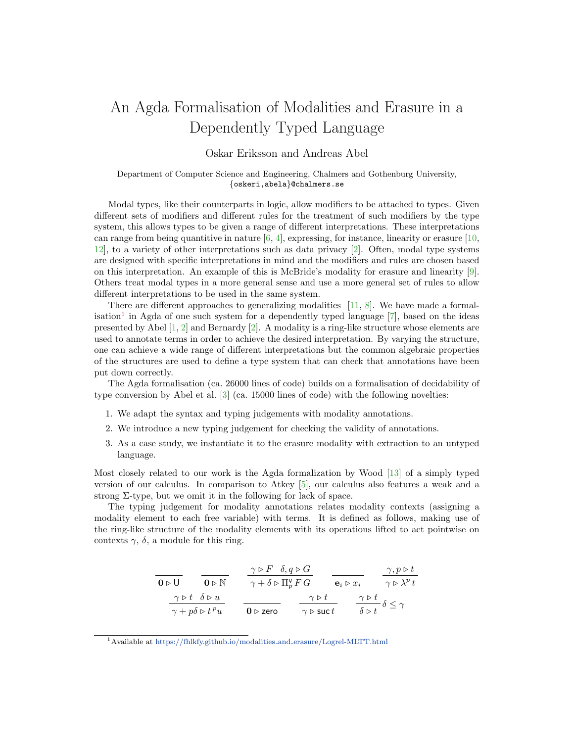## An Agda Formalisation of Modalities and Erasure in a Dependently Typed Language

## Oskar Eriksson and Andreas Abel

## Department of Computer Science and Engineering, Chalmers and Gothenburg University, {oskeri,abela}@chalmers.se

Modal types, like their counterparts in logic, allow modifiers to be attached to types. Given different sets of modifiers and different rules for the treatment of such modifiers by the type system, this allows types to be given a range of different interpretations. These interpretations can range from being quantitive in nature  $[6, 4]$  $[6, 4]$  $[6, 4]$ , expressing, for instance, linearity or erasure  $[10, 1]$  $[10, 1]$ [12\]](#page-2-3), to a variety of other interpretations such as data privacy [\[2\]](#page-2-4). Often, modal type systems are designed with specific interpretations in mind and the modifiers and rules are chosen based on this interpretation. An example of this is McBride's modality for erasure and linearity [\[9\]](#page-2-5). Others treat modal types in a more general sense and use a more general set of rules to allow different interpretations to be used in the same system.

There are different approaches to generalizing modalities [\[11,](#page-2-6) [8\]](#page-2-7). We have made a formal-isation<sup>[1](#page-0-0)</sup> in Agda of one such system for a dependently typed language  $[7]$ , based on the ideas presented by Abel [\[1,](#page-2-9) [2\]](#page-2-4) and Bernardy [\[2\]](#page-2-4). A modality is a ring-like structure whose elements are used to annotate terms in order to achieve the desired interpretation. By varying the structure, one can achieve a wide range of different interpretations but the common algebraic properties of the structures are used to define a type system that can check that annotations have been put down correctly.

The Agda formalisation (ca. 26000 lines of code) builds on a formalisation of decidability of type conversion by Abel et al. [\[3\]](#page-2-10) (ca. 15000 lines of code) with the following novelties:

- 1. We adapt the syntax and typing judgements with modality annotations.
- 2. We introduce a new typing judgement for checking the validity of annotations.
- 3. As a case study, we instantiate it to the erasure modality with extraction to an untyped language.

Most closely related to our work is the Agda formalization by Wood [\[13\]](#page-2-11) of a simply typed version of our calculus. In comparison to Atkey [\[5\]](#page-2-12), our calculus also features a weak and a strong  $\Sigma$ -type, but we omit it in the following for lack of space.

The typing judgement for modality annotations relates modality contexts (assigning a modality element to each free variable) with terms. It is defined as follows, making use of the ring-like structure of the modality elements with its operations lifted to act pointwise on contexts  $\gamma$ ,  $\delta$ , a module for this ring.

| 0 > U                                   | $\gamma \triangleright F$ | $\delta, q \triangleright G$                                                                                                                                    | $\gamma, p \triangleright t$      |                              |
|-----------------------------------------|---------------------------|-----------------------------------------------------------------------------------------------------------------------------------------------------------------|-----------------------------------|------------------------------|
| $0 \triangleright U$                    | $0 \triangleright N$      | $\gamma + \delta \triangleright \Pi_p^q F G$                                                                                                                    | $\mathbf{e}_i \triangleright x_i$ | $\gamma, p \triangleright t$ |
| $\gamma \triangleright t$               | $\delta \triangleright u$ | $\gamma \triangleright \mathbf{f} \triangleright \mathbf{f} \triangleright \mathbf{g}$                                                                          | $\gamma \triangleright t$         | $\gamma \triangleright t$    |
| $\gamma + p\delta \triangleright t^p u$ | $0 \triangleright$ zero   | $\gamma \triangleright \mathbf{f} \triangleright \mathbf{g} \triangleright \mathbf{g} \preightharpoonup \mathbf{g} \preightharpoonup \mathbf{g} \preceq \gamma$ |                                   |                              |

<span id="page-0-0"></span> $^1$  Available at [https://fhlkfy.github.io/modalities](https://fhlkfy.github.io/modalities_and_erasure/Logrel-MLTT.html)\_and\_erasure/Logrel-MLTT.html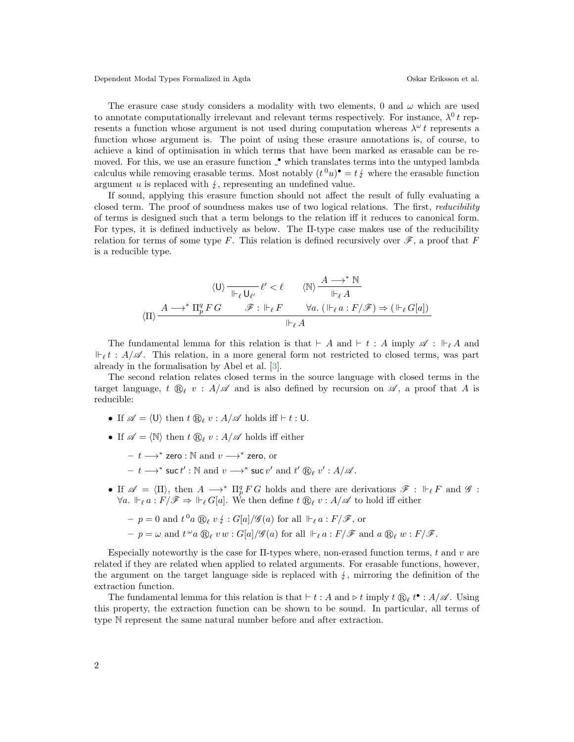Dependent Modal Types Formalized in Agda Oskar Eriksson et al.

The erasure case study considers a modality with two elements, 0 and  $\omega$  which are used to annotate computationally irrelevant and relevant terms respectively. For instance,  $\lambda^0 t$  represents a function whose argument is not used during computation whereas  $\lambda^{\omega} t$  represents a function whose argument is. The point of using these erasure annotations is, of course, to achieve a kind of optimisation in which terms that have been marked as erasable can be removed. For this, we use an erasure function  $\cdot$  which translates terms into the untyped lambda calculus while removing erasable terms. Most notably  $(t^0u)^{\bullet} = t \, t$  where the erasable function<br>examinative is replaced with  $\ell$  representing an undefined value. argument  $u$  is replaced with  $\zeta$ , representing an undefined value.

If sound, applying this erasure function should not affect the result of fully evaluating a closed term. The proof of soundness makes use of two logical relations. The first, *reducibility* of terms is designed such that a term belongs to the relation iff it reduces to canonical form. For types, it is defined inductively as below. The Π-type case makes use of the reducibility relation for terms of some type F. This relation is defined recursively over  $\mathscr{F}$ , a proof that F is a reducible type.

$$
\langle \mathsf{U} \rangle \xrightarrow[ \mathsf{H}_\ell \mathsf{U}_{\ell'} } \ell' < \ell \qquad \langle \mathbb{N} \rangle \xrightarrow[ \mathsf{H}_\ell \mathsf{A} } \xrightarrow[ \mathsf{H}_\ell \mathsf{A} ]
$$
\n
$$
\langle \Pi \rangle \xrightarrow{A \longrightarrow^* \Pi_p^q F \ G} \xrightarrow{\mathscr{F} : \mathsf{H}_\ell F} \forall a. \left( \mathsf{H}_\ell a : F / \mathscr{F} \right) \Rightarrow \left( \mathsf{H}_\ell G[a] \right)} \xrightarrow[ \mathsf{H}_\ell \mathsf{A}
$$

The fundamental lemma for this relation is that  $\vdash A$  and  $\vdash t : A$  imply  $\mathscr{A} : \vdash_{\ell} A$  and  $\Vdash_{\ell} t : A/\mathscr{A}$ . This relation, in a more general form not restricted to closed terms, was part already in the formalisation by Abel et al. [\[3\]](#page-2-10).

The second relation relates closed terms in the source language with closed terms in the target language,  $t \mathbb{Q}_\ell v : A/\mathscr{A}$  and is also defined by recursion on  $\mathscr{A}$ , a proof that A is reducible:

- If  $\mathscr{A} = \langle U \rangle$  then  $t \bigoplus_{\ell} v : A/\mathscr{A}$  holds iff  $\vdash t : U$ .
- If  $\mathscr{A} = \langle \mathbb{N} \rangle$  then  $t \mathbb{R}_\ell v : A/\mathscr{A}$  holds iff either
	- $t \longrightarrow^*$  zero : ℕ and  $v \longrightarrow^*$  zero, or
	- $t \longrightarrow^* \mathsf{succ} t' : \mathbb{N} \text{ and } v \longrightarrow^* \mathsf{succ} v' \text{ and } t' \circledR_\ell v' : A/\mathscr{A}.$
- If  $\mathscr{A} = \langle \Pi \rangle$ , then  $A \longrightarrow^* \Pi_p^q F G$  holds and there are derivations  $\mathscr{F} : \Vdash_{\ell} F$  and  $\mathscr{G}$ :  $\forall a. \Vdash_{\ell} a : F/\mathscr{F} \Rightarrow \Vdash_{\ell} G[a]$ . We then define  $t \bigoplus_{\ell} v : A/\mathscr{A}$  to hold iff either

- 
$$
p = 0
$$
 and  $t^0 a \bigotimes_{\ell} v \xi : G[a]/\mathscr{G}(a)$  for all  $\Vdash_{\ell} a : F/\mathscr{F}$ , or

 $-p = \omega$  and  $t^{\omega} a \bigotimes_{\ell} v w : G[a]/\mathscr{G}(a)$  for all  $\Vdash_{\ell} a : F/\mathscr{F}$  and  $a \bigotimes_{\ell} w : F/\mathscr{F}$ .

Especially noteworthy is the case for  $\Pi$ -types where, non-erased function terms, t and v are related if they are related when applied to related arguments. For erasable functions, however, the argument on the target language side is replaced with  $\frac{1}{2}$ , mirroring the definition of the extraction function.

The fundamental lemma for this relation is that  $\vdash t : A$  and  $\triangleright t$  imply  $t \bigoplus_{\ell} t^{\bullet} : A/\mathscr{A}$ . Using this property, the extraction function can be shown to be sound. In particular, all terms of type N represent the same natural number before and after extraction.